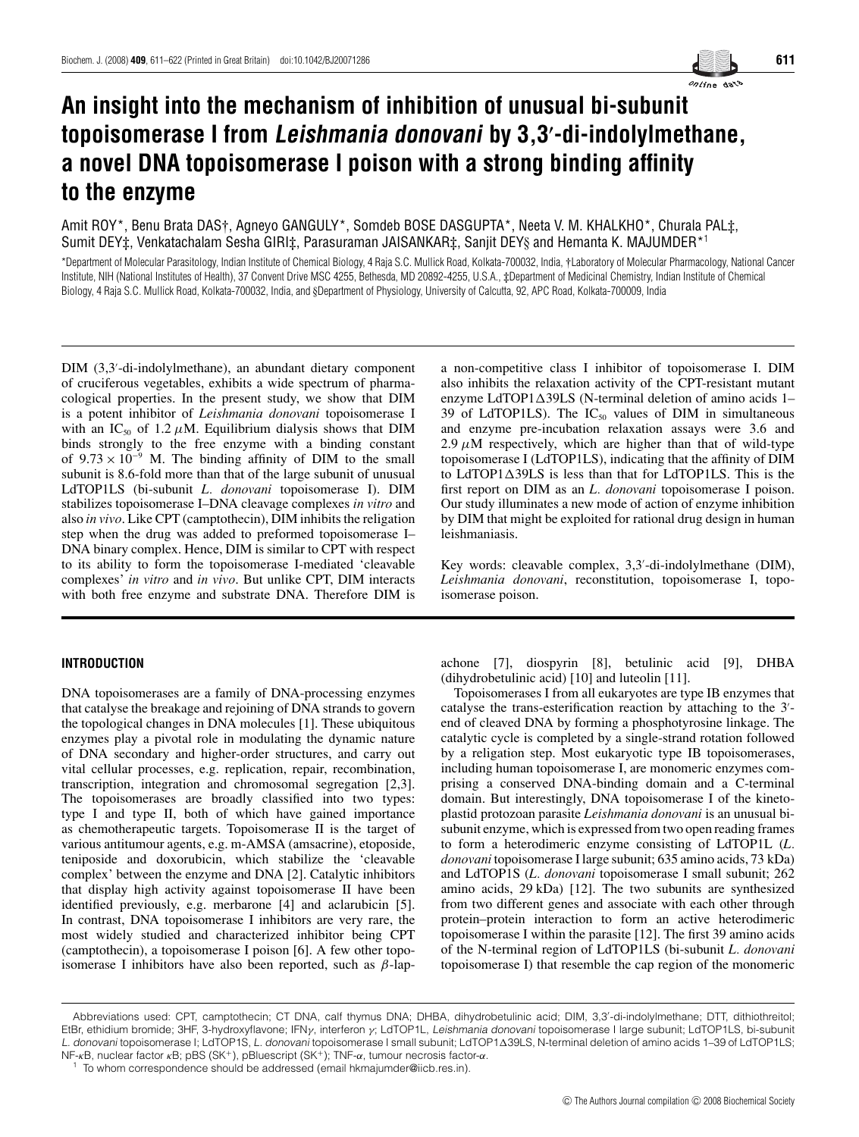online data

# **An insight into the mechanism of inhibition of unusual bi-subunit topoisomerase I from Leishmania donovani by 3,3 -di-indolylmethane, a novel DNA topoisomerase I poison with a strong binding affinity to the enzyme**

Amit ROY\*, Benu Brata DAS†, Agneyo GANGULY\*, Somdeb BOSE DASGUPTA\*, Neeta V. M. KHALKHO\*, Churala PAL‡, Sumit DEY‡, Venkatachalam Sesha GIRI‡, Parasuraman JAISANKAR‡, Sanjit DEY§ and Hemanta K. MAJUMDER\*<sup>1</sup>

\*Department of Molecular Parasitology, Indian Institute of Chemical Biology, 4 Raja S.C. Mullick Road, Kolkata-700032, India, †Laboratory of Molecular Pharmacology, National Cancer Institute, NIH (National Institutes of Health), 37 Convent Drive MSC 4255, Bethesda, MD 20892-4255, U.S.A., ‡Department of Medicinal Chemistry, Indian Institute of Chemical Biology, 4 Raja S.C. Mullick Road, Kolkata-700032, India, and §Department of Physiology, University of Calcutta, 92, APC Road, Kolkata-700009, India

DIM (3,3 -di-indolylmethane), an abundant dietary component of cruciferous vegetables, exhibits a wide spectrum of pharmacological properties. In the present study, we show that DIM is a potent inhibitor of *Leishmania donovani* topoisomerase I with an IC<sub>50</sub> of 1.2  $\mu$ M. Equilibrium dialysis shows that DIM binds strongly to the free enzyme with a binding constant of  $9.73 \times 10^{-9}$  M. The binding affinity of DIM to the small subunit is 8.6-fold more than that of the large subunit of unusual LdTOP1LS (bi-subunit *L. donovani* topoisomerase I). DIM stabilizes topoisomerase I–DNA cleavage complexes *in vitro* and also *in vivo*. Like CPT (camptothecin), DIM inhibits the religation step when the drug was added to preformed topoisomerase I– DNA binary complex. Hence, DIM is similar to CPT with respect to its ability to form the topoisomerase I-mediated 'cleavable complexes' *in vitro* and *in vivo*. But unlike CPT, DIM interacts with both free enzyme and substrate DNA. Therefore DIM is

## **INTRODUCTION**

DNA topoisomerases are a family of DNA-processing enzymes that catalyse the breakage and rejoining of DNA strands to govern the topological changes in DNA molecules [1]. These ubiquitous enzymes play a pivotal role in modulating the dynamic nature of DNA secondary and higher-order structures, and carry out vital cellular processes, e.g. replication, repair, recombination, transcription, integration and chromosomal segregation [2,3]. The topoisomerases are broadly classified into two types: type I and type II, both of which have gained importance as chemotherapeutic targets. Topoisomerase II is the target of various antitumour agents, e.g. m-AMSA (amsacrine), etoposide, teniposide and doxorubicin, which stabilize the 'cleavable complex' between the enzyme and DNA [2]. Catalytic inhibitors that display high activity against topoisomerase II have been identified previously, e.g. merbarone [4] and aclarubicin [5]. In contrast, DNA topoisomerase I inhibitors are very rare, the most widely studied and characterized inhibitor being CPT (camptothecin), a topoisomerase I poison [6]. A few other topoisomerase I inhibitors have also been reported, such as  $\beta$ -lapa non-competitive class I inhibitor of topoisomerase I. DIM also inhibits the relaxation activity of the CPT-resistant mutant enzyme LdTOP1 $\triangle$ 39LS (N-terminal deletion of amino acids 1– 39 of LdTOP1LS). The  $IC_{50}$  values of DIM in simultaneous and enzyme pre-incubation relaxation assays were 3.6 and  $2.9 \mu$ M respectively, which are higher than that of wild-type topoisomerase I (LdTOP1LS), indicating that the affinity of DIM to  $LdTOP1\Delta39LS$  is less than that for  $LdTOP1LS$ . This is the first report on DIM as an *L. donovani* topoisomerase I poison. Our study illuminates a new mode of action of enzyme inhibition by DIM that might be exploited for rational drug design in human leishmaniasis.

Key words: cleavable complex, 3,3 -di-indolylmethane (DIM), *Leishmania donovani*, reconstitution, topoisomerase I, topoisomerase poison.

achone [7], diospyrin [8], betulinic acid [9], DHBA (dihydrobetulinic acid) [10] and luteolin [11].

Topoisomerases I from all eukaryotes are type IB enzymes that catalyse the trans-esterification reaction by attaching to the 3 end of cleaved DNA by forming a phosphotyrosine linkage. The catalytic cycle is completed by a single-strand rotation followed by a religation step. Most eukaryotic type IB topoisomerases, including human topoisomerase I, are monomeric enzymes comprising a conserved DNA-binding domain and a C-terminal domain. But interestingly, DNA topoisomerase I of the kinetoplastid protozoan parasite *Leishmania donovani* is an unusual bisubunit enzyme, which is expressed from two open reading frames to form a heterodimeric enzyme consisting of LdTOP1L (*L. donovani* topoisomerase I large subunit; 635 amino acids, 73 kDa) and LdTOP1S (*L. donovani* topoisomerase I small subunit; 262 amino acids, 29 kDa) [12]. The two subunits are synthesized from two different genes and associate with each other through protein–protein interaction to form an active heterodimeric topoisomerase I within the parasite [12]. The first 39 amino acids of the N-terminal region of LdTOP1LS (bi-subunit *L. donovani* topoisomerase I) that resemble the cap region of the monomeric

Abbreviations used: CPT, camptothecin; CT DNA, calf thymus DNA; DHBA, dihydrobetulinic acid; DIM, 3,3 -di-indolylmethane; DTT, dithiothreitol; EtBr, ethidium bromide; 3HF, 3-hydroxyflavone; IFN*γ*, interferon *γ*; LdTOP1L, Leishmania donovani topoisomerase I large subunit; LdTOP1LS, bi-subunit L. *donovani* topoisomerase I; LdTOP1S, *L. donovani* topoisomerase I small subunit; LdTOP1∆39LS, N-terminal deletion of amino acids 1–39 of LdTOP1LS; NF-*κ*B, nuclear factor *κ*B; pBS (SK<sup>+</sup>), pBluescript (SK<sup>+</sup>); TNF-*α*, tumour necrosis factor-*α*.

To whom correspondence should be addressed (email hkmajumder@iicb.res.in).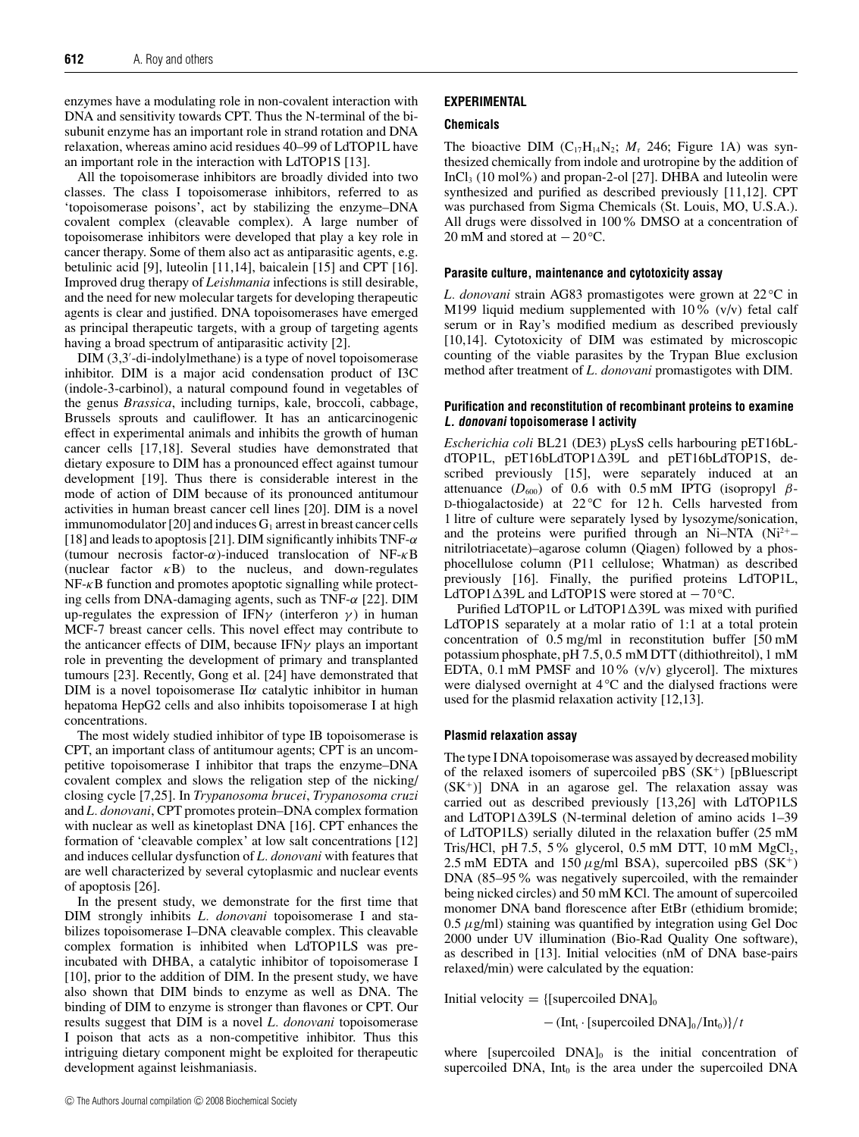enzymes have a modulating role in non-covalent interaction with DNA and sensitivity towards CPT. Thus the N-terminal of the bisubunit enzyme has an important role in strand rotation and DNA relaxation, whereas amino acid residues 40–99 of LdTOP1L have an important role in the interaction with LdTOP1S [13].

All the topoisomerase inhibitors are broadly divided into two classes. The class I topoisomerase inhibitors, referred to as 'topoisomerase poisons', act by stabilizing the enzyme–DNA covalent complex (cleavable complex). A large number of topoisomerase inhibitors were developed that play a key role in cancer therapy. Some of them also act as antiparasitic agents, e.g. betulinic acid [9], luteolin [11,14], baicalein [15] and CPT [16]. Improved drug therapy of *Leishmania* infections is still desirable, and the need for new molecular targets for developing therapeutic agents is clear and justified. DNA topoisomerases have emerged as principal therapeutic targets, with a group of targeting agents having a broad spectrum of antiparasitic activity [2].

DIM (3,3 -di-indolylmethane) is a type of novel topoisomerase inhibitor. DIM is a major acid condensation product of I3C (indole-3-carbinol), a natural compound found in vegetables of the genus *Brassica*, including turnips, kale, broccoli, cabbage, Brussels sprouts and cauliflower. It has an anticarcinogenic effect in experimental animals and inhibits the growth of human cancer cells [17,18]. Several studies have demonstrated that dietary exposure to DIM has a pronounced effect against tumour development [19]. Thus there is considerable interest in the mode of action of DIM because of its pronounced antitumour activities in human breast cancer cell lines [20]. DIM is a novel immunomodulator [20] and induces  $G_1$  arrest in breast cancer cells [18] and leads to apoptosis [21]. DIM significantly inhibits TNF- $\alpha$ (tumour necrosis factor- $\alpha$ )-induced translocation of NF- $\kappa$ B (nuclear factor  $\kappa$ B) to the nucleus, and down-regulates  $NF-\kappa B$  function and promotes apoptotic signalling while protecting cells from DNA-damaging agents, such as TNF- $\alpha$  [22]. DIM up-regulates the expression of IFN $\gamma$  (interferon  $\gamma$ ) in human MCF-7 breast cancer cells. This novel effect may contribute to the anticancer effects of DIM, because IFN $\gamma$  plays an important role in preventing the development of primary and transplanted tumours [23]. Recently, Gong et al. [24] have demonstrated that DIM is a novel topoisomerase II $\alpha$  catalytic inhibitor in human hepatoma HepG2 cells and also inhibits topoisomerase I at high concentrations.

The most widely studied inhibitor of type IB topoisomerase is CPT, an important class of antitumour agents; CPT is an uncompetitive topoisomerase I inhibitor that traps the enzyme–DNA covalent complex and slows the religation step of the nicking/ closing cycle [7,25]. In *Trypanosoma brucei*, *Trypanosoma cruzi* and *L. donovani*, CPT promotes protein–DNA complex formation with nuclear as well as kinetoplast DNA [16]. CPT enhances the formation of 'cleavable complex' at low salt concentrations [12] and induces cellular dysfunction of *L. donovani* with features that are well characterized by several cytoplasmic and nuclear events of apoptosis [26].

In the present study, we demonstrate for the first time that DIM strongly inhibits *L. donovani* topoisomerase I and stabilizes topoisomerase I–DNA cleavable complex. This cleavable complex formation is inhibited when LdTOP1LS was preincubated with DHBA, a catalytic inhibitor of topoisomerase I [10], prior to the addition of DIM. In the present study, we have also shown that DIM binds to enzyme as well as DNA. The binding of DIM to enzyme is stronger than flavones or CPT. Our results suggest that DIM is a novel *L. donovani* topoisomerase I poison that acts as a non-competitive inhibitor. Thus this intriguing dietary component might be exploited for therapeutic development against leishmaniasis.

# **EXPERIMENTAL**

## **Chemicals**

The bioactive DIM  $(C_{17}H_{14}N_2; M_1 246;$  Figure 1A) was synthesized chemically from indole and urotropine by the addition of InCl<sub>3</sub> (10 mol%) and propan-2-ol [27]. DHBA and luteolin were synthesized and purified as described previously [11,12]. CPT was purchased from Sigma Chemicals (St. Louis, MO, U.S.A.). All drugs were dissolved in 100% DMSO at a concentration of 20 mM and stored at −20 *◦*C.

#### **Parasite culture, maintenance and cytotoxicity assay**

*L. donovani* strain AG83 promastigotes were grown at 22 *◦*C in M199 liquid medium supplemented with  $10\%$  (v/v) fetal calf serum or in Ray's modified medium as described previously [10,14]. Cytotoxicity of DIM was estimated by microscopic counting of the viable parasites by the Trypan Blue exclusion method after treatment of *L. donovani* promastigotes with DIM.

## **Purification and reconstitution of recombinant proteins to examine L. donovani topoisomerase I activity**

*Escherichia coli* BL21 (DE3) pLysS cells harbouring pET16bLdTOP1L, pET16bLdTOP139L and pET16bLdTOP1S, described previously [15], were separately induced at an attenuance  $(D_{600})$  of 0.6 with 0.5 mM IPTG (isopropyl  $\beta$ -D-thiogalactoside) at 22 °C for 12 h. Cells harvested from 1 litre of culture were separately lysed by lysozyme/sonication, and the proteins were purified through an Ni–NTA  $(Ni^{2+}$ – nitrilotriacetate)–agarose column (Qiagen) followed by a phosphocellulose column (P11 cellulose; Whatman) as described previously [16]. Finally, the purified proteins LdTOP1L, LdTOP139L and LdTOP1S were stored at −70 *◦*C.

Purified LdTOP1L or LdTOP1 $\Delta$ 39L was mixed with purified LdTOP1S separately at a molar ratio of 1:1 at a total protein concentration of 0.5 mg/ml in reconstitution buffer [50 mM potassium phosphate, pH 7.5, 0.5 mM DTT (dithiothreitol), 1 mM EDTA, 0.1 mM PMSF and 10% (v/v) glycerol]. The mixtures were dialysed overnight at 4 °<sup>C</sup> and the dialysed fractions were used for the plasmid relaxation activity [12,13].

## **Plasmid relaxation assay**

The type I DNA topoisomerase was assayed by decreased mobility of the relaxed isomers of supercoiled  $pBS(SK^+)$  [pBluescript]  $(SK^+)$ ] DNA in an agarose gel. The relaxation assay was carried out as described previously [13,26] with LdTOP1LS and LdTOP1 $\triangle$ 39LS (N-terminal deletion of amino acids 1–39 of LdTOP1LS) serially diluted in the relaxation buffer (25 mM Tris/HCl, pH 7.5, 5% glycerol, 0.5 mM DTT, 10 mM  $MgCl<sub>2</sub>$ , 2.5 mM EDTA and 150  $\mu$ g/ml BSA), supercoiled pBS (SK<sup>+</sup>) DNA (85–95% was negatively supercoiled, with the remainder being nicked circles) and 50 mM KCl. The amount of supercoiled monomer DNA band florescence after EtBr (ethidium bromide;  $0.5 \mu$ g/ml) staining was quantified by integration using Gel Doc 2000 under UV illumination (Bio-Rad Quality One software), as described in [13]. Initial velocities (nM of DNA base-pairs relaxed/min) were calculated by the equation:

Initial velocity =  $\{$ [supercoiled DNA]<sub>0</sub>

− (Intt ·[supercoiled DNA]0/Int0)}/*t*

where [supercoiled  $DNA]_0$  is the initial concentration of supercoiled DNA,  $Int_0$  is the area under the supercoiled DNA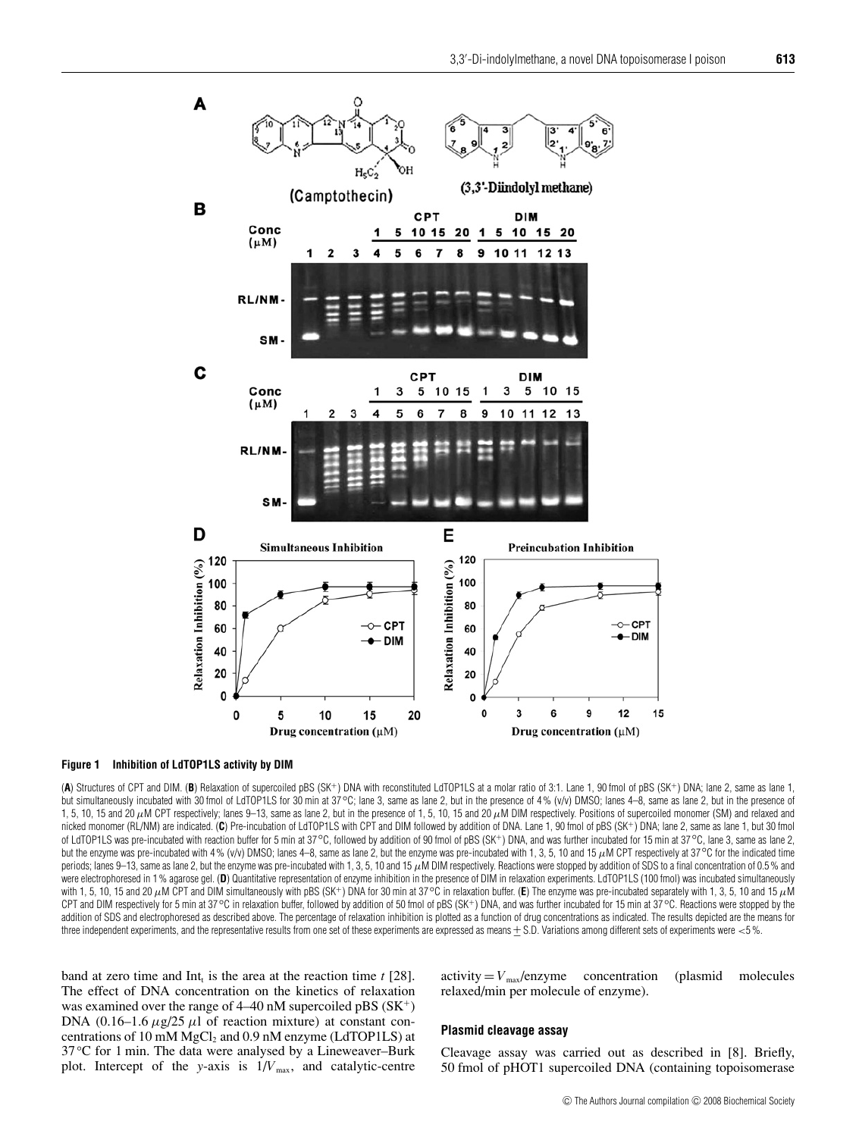

#### **Figure 1 Inhibition of LdTOP1LS activity by DIM**

(**A**) Structures of CPT and DIM. (**B**) Relaxation of supercoiled pBS (SK<sup>+</sup>) DNA with reconstituted LdTOP1LS at a molar ratio of 3:1. Lane 1, 90 fmol of pBS (SK<sup>+</sup>) DNA; lane 2, same as lane 1, but simultaneously incubated with 30 fmol of LdTOP1LS for 30 min at 37°C; lane 3, same as lane 2, but in the presence of 4% (v/v) DMSO; lanes 4–8, same as lane 2, but in the presence of 1, 5, 10, 15 and 20  $\mu$ M CPT respectively; lanes 9–13, same as lane 2, but in the presence of 1, 5, 10, 15 and 20  $\mu$ M DIM respectively. Positions of supercoiled monomer (SM) and relaxed and nicked monomer (RL/NM) are indicated. (**C**) Pre-incubation of LdTOP1LS with CPT and DIM followed by addition of DNA. Lane 1, 90 fmol of pBS (SK<sup>+</sup>) DNA; lane 2, same as lane 1, but 30 fmol of LdTOP1LS was pre-incubated with reaction buffer for 5 min at 37*◦*C, followed by addition of 90 fmol of pBS (SK<sup>+</sup>) DNA, and was further incubated for 15 min at 37*◦*C, lane 3, same as lane 2, but the enzyme was pre-incubated with 4 % (v/v) DMSO; lanes 4–8, same as lane 2, but the enzyme was pre-incubated with 1, 3, 5, 10 and 15 µM CPT respectively at 37 °C for the indicated time periods; lanes 9–13, same as lane 2, but the enzyme was pre-incubated with 1, 3, 5, 10 and 15  $\mu$ M DIM respectively. Reactions were stopped by addition of SDS to a final concentration of 0.5 % and were electrophoresed in 1% agarose gel. (D) Quantitative representation of enzyme inhibition in the presence of DIM in relaxation experiments. LdTOP1LS (100 fmol) was incubated simultaneously with 1, 5, 10, 15 and 20 μM CPT and DIM simultaneously with pBS (SK+) DNA for 30 min at 37 °C in relaxation buffer. (E) The enzyme was pre-incubated separately with 1, 3, 5, 10 and 15 μM CPT and DIM respectively for 5 min at 37*◦*C in relaxation buffer, followed by addition of 50 fmol of pBS (SK<sup>+</sup>) DNA, and was further incubated for 15 min at 37*◦*C. Reactions were stopped by the addition of SDS and electrophoresed as described above. The percentage of relaxation inhibition is plotted as a function of drug concentrations as indicated. The results depicted are the means for three independent experiments, and the representative results from one set of these experiments are expressed as means  $\pm$  S.D. Variations among different sets of experiments were <5%.

band at zero time and  $Int_t$  is the area at the reaction time  $t$  [28]. The effect of DNA concentration on the kinetics of relaxation was examined over the range of 4–40 nM supercoiled pBS (SK<sup>+</sup>) DNA (0.16–1.6  $\mu$ g/25  $\mu$ l of reaction mixture) at constant concentrations of 10 mM  $MgCl<sub>2</sub>$  and 0.9 nM enzyme (LdTOP1LS) at 37 *◦*C for 1 min. The data were analysed by a Lineweaver–Burk plot. Intercept of the *y*-axis is  $1/V_{\text{max}}$ , and catalytic-centre

 $activity = V_{max}/energy$  concentration (plasmid molecules relaxed/min per molecule of enzyme).

#### **Plasmid cleavage assay**

Cleavage assay was carried out as described in [8]. Briefly, 50 fmol of pHOT1 supercoiled DNA (containing topoisomerase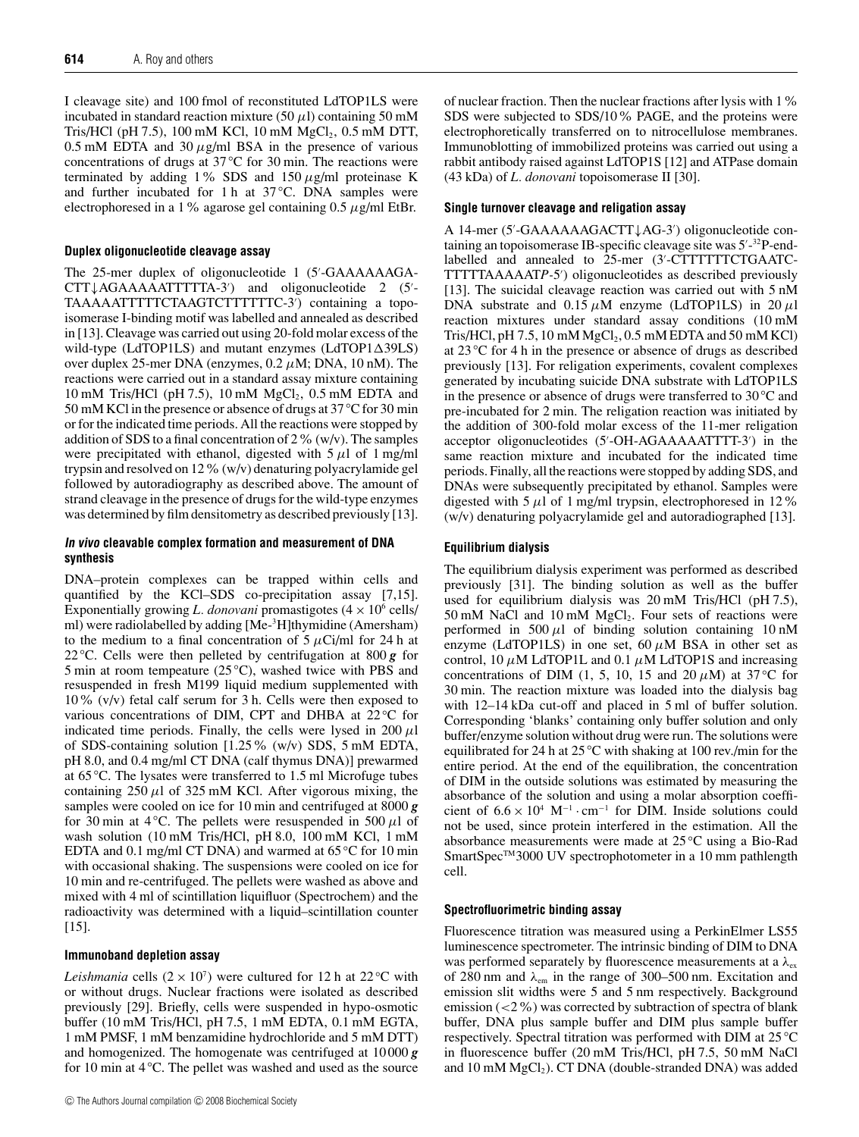I cleavage site) and 100 fmol of reconstituted LdTOP1LS were incubated in standard reaction mixture (50  $\mu$ l) containing 50 mM Tris/HCl (pH 7.5), 100 mM KCl, 10 mM  $MgCl_2$ , 0.5 mM DTT, 0.5 mM EDTA and 30  $\mu$ g/ml BSA in the presence of various concentrations of drugs at 37 *◦*C for 30 min. The reactions were terminated by adding 1% SDS and 150  $\mu$ g/ml proteinase K and further incubated for 1 h at 37 *◦* C. DNA samples were electrophoresed in a 1% agarose gel containing  $0.5 \mu$ g/ml EtBr.

#### **Duplex oligonucleotide cleavage assay**

The 25-mer duplex of oligonucleotide 1 (5 -GAAAAAAGA-CTT↓AGAAAAATTTTTA-3 ) and oligonucleotide 2 (5 - TAAAAATTTTTCTAAGTCTTTTTTC-3 ) containing a topoisomerase I-binding motif was labelled and annealed as described in [13]. Cleavage was carried out using 20-fold molar excess of the wild-type (LdTOP1LS) and mutant enzymes (LdTOP1 $\triangle$ 39LS) over duplex 25-mer DNA (enzymes,  $0.2 \mu$ M; DNA, 10 nM). The reactions were carried out in a standard assay mixture containing 10 mM Tris/HCl (pH 7.5), 10 mM  $MgCl<sub>2</sub>$ , 0.5 mM EDTA and 50 mM KCl in the presence or absence of drugs at 37 *◦* C for 30 min or for the indicated time periods. All the reactions were stopped by addition of SDS to a final concentration of  $2\%$  (w/v). The samples were precipitated with ethanol, digested with  $5 \mu l$  of 1 mg/ml trypsin and resolved on 12%(w/v) denaturing polyacrylamide gel followed by autoradiography as described above. The amount of strand cleavage in the presence of drugs for the wild-type enzymes was determined by film densitometry as described previously [13].

## **In vivo cleavable complex formation and measurement of DNA synthesis**

DNA–protein complexes can be trapped within cells and quantified by the KCl–SDS co-precipitation assay [7,15]. Exponentially growing *L. donovani* promastigotes  $(4 \times 10^6 \text{ cells})$ ml) were radiolabelled by adding [Me-<sup>3</sup>H]thymidine (Amersham) to the medium to a final concentration of  $5 \mu$ Ci/ml for 24 h at 22 *◦* C. Cells were then pelleted by centrifugation at 800 *g* for 5 min at room tempeature (25 <sup>°</sup>C), washed twice with PBS and resuspended in fresh M199 liquid medium supplemented with 10% (v/v) fetal calf serum for 3 h. Cells were then exposed to various concentrations of DIM, CPT and DHBA at 22 °C for indicated time periods. Finally, the cells were lysed in  $200 \mu l$ of SDS-containing solution [1.25% (w/v) SDS, 5 mM EDTA, pH 8.0, and 0.4 mg/ml CT DNA (calf thymus DNA)] prewarmed at 65 *◦* C. The lysates were transferred to 1.5 ml Microfuge tubes containing  $250 \mu l$  of  $325 \mu M$  KCl. After vigorous mixing, the samples were cooled on ice for 10 min and centrifuged at 8000 *g* for 30 min at 4 °C. The pellets were resuspended in 500  $\mu$ l of wash solution (10 mM Tris/HCl, pH 8.0, 100 mM KCl, 1 mM EDTA and 0.1 mg/ml CT DNA) and warmed at 65 *◦* C for 10 min with occasional shaking. The suspensions were cooled on ice for 10 min and re-centrifuged. The pellets were washed as above and mixed with 4 ml of scintillation liquifluor (Spectrochem) and the radioactivity was determined with a liquid–scintillation counter [15].

## **Immunoband depletion assay**

*Leishmania* cells  $(2 \times 10^7)$  were cultured for 12 h at 22 °C with or without drugs. Nuclear fractions were isolated as described previously [29]. Briefly, cells were suspended in hypo-osmotic buffer (10 mM Tris/HCl, pH 7.5, 1 mM EDTA, 0.1 mM EGTA, 1 mM PMSF, 1 mM benzamidine hydrochloride and 5 mM DTT) and homogenized. The homogenate was centrifuged at 10 000 *g* for 10 min at 4 <sup>°</sup>C. The pellet was washed and used as the source

of nuclear fraction. Then the nuclear fractions after lysis with 1% SDS were subjected to SDS/10% PAGE, and the proteins were electrophoretically transferred on to nitrocellulose membranes. Immunoblotting of immobilized proteins was carried out using a rabbit antibody raised against LdTOP1S [12] and ATPase domain (43 kDa) of *L. donovani* topoisomerase II [30].

## **Single turnover cleavage and religation assay**

A 14-mer (5 -GAAAAAAGACTT↓AG-3 ) oligonucleotide containing an topoisomerase IB-specific cleavage site was 5'-32P-endlabelled and annealed to 25-mer (3'-CTTTTTTCTGAATC-TTTTTAAAAAT*P-*5 ) oligonucleotides as described previously [13]. The suicidal cleavage reaction was carried out with 5 nM DNA substrate and  $0.15 \mu$ M enzyme (LdTOP1LS) in 20  $\mu$ l reaction mixtures under standard assay conditions (10 mM Tris/HCl, pH 7.5, 10 mM  $MgCl<sub>2</sub>$ , 0.5 mM EDTA and 50 mM KCl) at 23 *◦*C for 4 h in the presence or absence of drugs as described previously [13]. For religation experiments, covalent complexes generated by incubating suicide DNA substrate with LdTOP1LS in the presence or absence of drugs were transferred to 30 *◦*C and pre-incubated for 2 min. The religation reaction was initiated by the addition of 300-fold molar excess of the 11-mer religation acceptor oligonucleotides (5'-OH-AGAAAAATTTT-3') in the same reaction mixture and incubated for the indicated time periods. Finally, all the reactions were stopped by adding SDS, and DNAs were subsequently precipitated by ethanol. Samples were digested with 5  $\mu$ l of 1 mg/ml trypsin, electrophoresed in 12% (w/v) denaturing polyacrylamide gel and autoradiographed [13].

#### **Equilibrium dialysis**

The equilibrium dialysis experiment was performed as described previously [31]. The binding solution as well as the buffer used for equilibrium dialysis was 20 mM Tris/HCl (pH 7.5),  $50 \text{ mM NaCl}$  and  $10 \text{ mM MgCl}_2$ . Four sets of reactions were performed in 500  $\mu$ 1 of binding solution containing 10 nM enzyme (LdTOP1LS) in one set,  $60 \mu M$  BSA in other set as control, 10  $\mu$ M LdTOP1L and 0.1  $\mu$ M LdTOP1S and increasing concentrations of DIM (1, 5, 10, 15 and 20  $\mu$ M) at 37 <sup>°</sup>C for 30 min. The reaction mixture was loaded into the dialysis bag with 12–14 kDa cut-off and placed in 5 ml of buffer solution. Corresponding 'blanks' containing only buffer solution and only buffer/enzyme solution without drug were run. The solutions were equilibrated for 24 h at 25 *◦*C with shaking at 100 rev./min for the entire period. At the end of the equilibration, the concentration of DIM in the outside solutions was estimated by measuring the absorbance of the solution and using a molar absorption coefficient of  $6.6 \times 10^4$  M<sup>-1</sup> · cm<sup>-1</sup> for DIM. Inside solutions could not be used, since protein interfered in the estimation. All the absorbance measurements were made at 25 *◦* C using a Bio-Rad SmartSpec™3000 UV spectrophotometer in a 10 mm pathlength cell.

## **Spectrofluorimetric binding assay**

Fluorescence titration was measured using a PerkinElmer LS55 luminescence spectrometer. The intrinsic binding of DIM to DNA was performed separately by fluorescence measurements at a  $\lambda_{ex}$ of 280 nm and  $\lambda_{em}$  in the range of 300–500 nm. Excitation and emission slit widths were 5 and 5 nm respectively. Background emission  $\left($  <2%) was corrected by subtraction of spectra of blank buffer, DNA plus sample buffer and DIM plus sample buffer respectively. Spectral titration was performed with DIM at 25 *◦*C in fluorescence buffer (20 mM Tris/HCl, pH 7.5, 50 mM NaCl and 10 mM MgCl<sub>2</sub>). CT DNA (double-stranded DNA) was added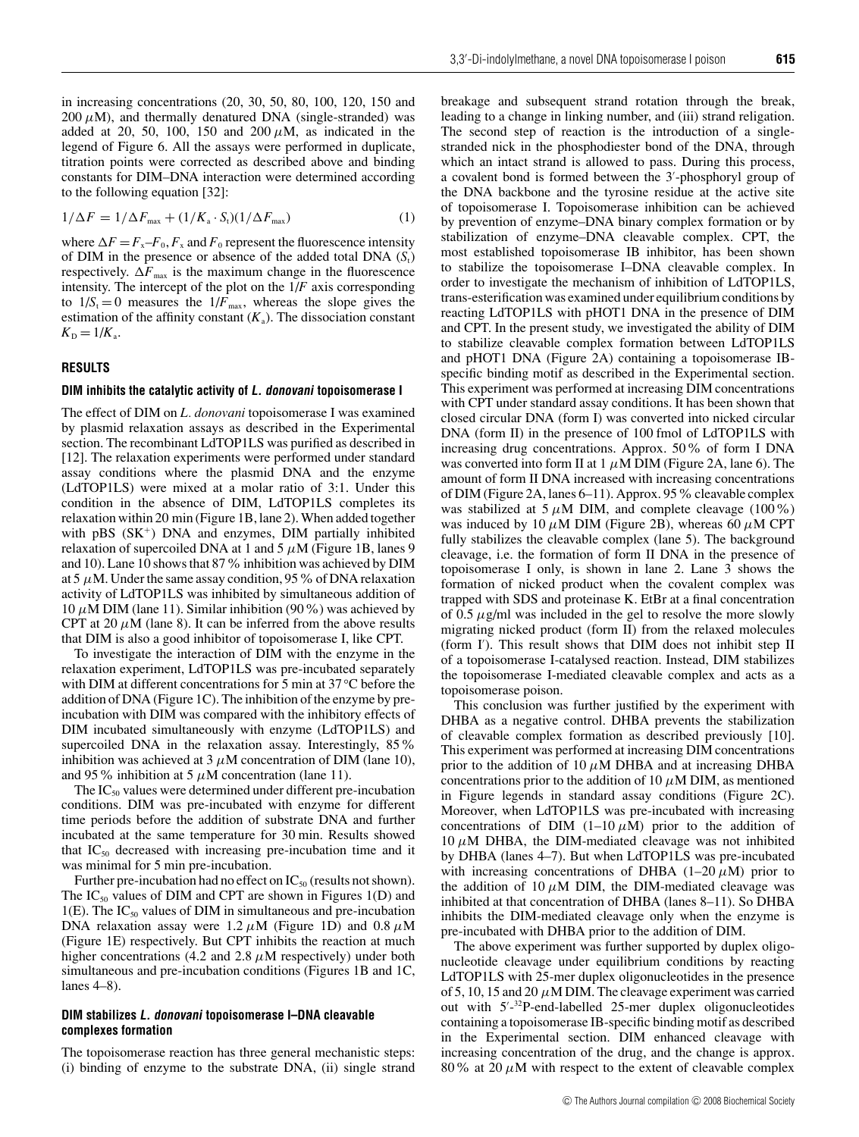in increasing concentrations (20, 30, 50, 80, 100, 120, 150 and  $200 \mu$ M), and thermally denatured DNA (single-stranded) was added at 20, 50, 100, 150 and 200  $\mu$ M, as indicated in the legend of Figure 6. All the assays were performed in duplicate, titration points were corrected as described above and binding constants for DIM–DNA interaction were determined according to the following equation [32]:

$$
1/\Delta F = 1/\Delta F_{\text{max}} + (1/K_{\text{a}} \cdot S_{\text{t}})(1/\Delta F_{\text{max}})
$$
\n(1)

where  $\Delta F = F_x - F_0$ ,  $F_x$  and  $F_0$  represent the fluorescence intensity of DIM in the presence or absence of the added total DNA  $(S_t)$ respectively.  $\Delta F_{\text{max}}$  is the maximum change in the fluorescence intensity. The intercept of the plot on the 1/*F* axis corresponding to  $1/S_t = 0$  measures the  $1/F_{\text{max}}$ , whereas the slope gives the estimation of the affinity constant  $(K_a)$ . The dissociation constant  $K_{\rm D} = 1/K_{\rm a}$ .

## **RESULTS**

#### **DIM inhibits the catalytic activity of L. donovani topoisomerase I**

The effect of DIM on *L. donovani* topoisomerase I was examined by plasmid relaxation assays as described in the Experimental section. The recombinant LdTOP1LS was purified as described in [12]. The relaxation experiments were performed under standard assay conditions where the plasmid DNA and the enzyme (LdTOP1LS) were mixed at a molar ratio of 3:1. Under this condition in the absence of DIM, LdTOP1LS completes its relaxation within 20 min (Figure 1B, lane 2). When added together with  $pBS(SK<sup>+</sup>)$  DNA and enzymes, DIM partially inhibited relaxation of supercoiled DNA at 1 and 5  $\mu$ M (Figure 1B, lanes 9 and 10). Lane 10 shows that 87% inhibition was achieved by DIM at 5  $\mu$ M. Under the same assay condition, 95 % of DNA relaxation activity of LdTOP1LS was inhibited by simultaneous addition of 10  $\mu$ M DIM (lane 11). Similar inhibition (90%) was achieved by CPT at 20  $\mu$ M (lane 8). It can be inferred from the above results that DIM is also a good inhibitor of topoisomerase I, like CPT.

To investigate the interaction of DIM with the enzyme in the relaxation experiment, LdTOP1LS was pre-incubated separately with DIM at different concentrations for 5 min at 37 *◦*C before the addition of DNA (Figure 1C). The inhibition of the enzyme by preincubation with DIM was compared with the inhibitory effects of DIM incubated simultaneously with enzyme (LdTOP1LS) and supercoiled DNA in the relaxation assay. Interestingly, 85% inhibition was achieved at 3  $\mu$ M concentration of DIM (lane 10), and 95% inhibition at 5  $\mu$ M concentration (lane 11).

The  $IC_{50}$  values were determined under different pre-incubation conditions. DIM was pre-incubated with enzyme for different time periods before the addition of substrate DNA and further incubated at the same temperature for 30 min. Results showed that  $IC_{50}$  decreased with increasing pre-incubation time and it was minimal for 5 min pre-incubation.

Further pre-incubation had no effect on  $IC_{50}$  (results not shown). The  $IC_{50}$  values of DIM and CPT are shown in Figures 1(D) and 1(E). The  $IC_{50}$  values of DIM in simultaneous and pre-incubation DNA relaxation assay were 1.2  $\mu$ M (Figure 1D) and 0.8  $\mu$ M (Figure 1E) respectively. But CPT inhibits the reaction at much higher concentrations (4.2 and 2.8  $\mu$ M respectively) under both simultaneous and pre-incubation conditions (Figures 1B and 1C, lanes 4–8).

#### **DIM stabilizes L. donovani topoisomerase I–DNA cleavable complexes formation**

The topoisomerase reaction has three general mechanistic steps: (i) binding of enzyme to the substrate DNA, (ii) single strand breakage and subsequent strand rotation through the break, leading to a change in linking number, and (iii) strand religation. The second step of reaction is the introduction of a singlestranded nick in the phosphodiester bond of the DNA, through which an intact strand is allowed to pass. During this process, a covalent bond is formed between the 3 -phosphoryl group of the DNA backbone and the tyrosine residue at the active site of topoisomerase I. Topoisomerase inhibition can be achieved by prevention of enzyme–DNA binary complex formation or by stabilization of enzyme–DNA cleavable complex. CPT, the most established topoisomerase IB inhibitor, has been shown to stabilize the topoisomerase I–DNA cleavable complex. In order to investigate the mechanism of inhibition of LdTOP1LS, trans-esterification was examined under equilibrium conditions by reacting LdTOP1LS with pHOT1 DNA in the presence of DIM and CPT. In the present study, we investigated the ability of DIM to stabilize cleavable complex formation between LdTOP1LS and pHOT1 DNA (Figure 2A) containing a topoisomerase IBspecific binding motif as described in the Experimental section. This experiment was performed at increasing DIM concentrations with CPT under standard assay conditions. It has been shown that closed circular DNA (form I) was converted into nicked circular DNA (form II) in the presence of 100 fmol of LdTOP1LS with increasing drug concentrations. Approx. 50% of form I DNA was converted into form II at 1  $\mu$ M DIM (Figure 2A, lane 6). The amount of form II DNA increased with increasing concentrations of DIM (Figure 2A, lanes 6–11). Approx. 95 % cleavable complex was stabilized at 5  $\mu$ M DIM, and complete cleavage (100%) was induced by 10  $\mu$ M DIM (Figure 2B), whereas 60  $\mu$ M CPT fully stabilizes the cleavable complex (lane 5). The background cleavage, i.e. the formation of form II DNA in the presence of topoisomerase I only, is shown in lane 2. Lane 3 shows the formation of nicked product when the covalent complex was trapped with SDS and proteinase K. EtBr at a final concentration of 0.5  $\mu$ g/ml was included in the gel to resolve the more slowly migrating nicked product (form II) from the relaxed molecules (form I ). This result shows that DIM does not inhibit step II of a topoisomerase I-catalysed reaction. Instead, DIM stabilizes the topoisomerase I-mediated cleavable complex and acts as a topoisomerase poison.

This conclusion was further justified by the experiment with DHBA as a negative control. DHBA prevents the stabilization of cleavable complex formation as described previously [10]. This experiment was performed at increasing DIM concentrations prior to the addition of 10  $\mu$ M DHBA and at increasing DHBA concentrations prior to the addition of 10  $\mu$ M DIM, as mentioned in Figure legends in standard assay conditions (Figure 2C). Moreover, when LdTOP1LS was pre-incubated with increasing concentrations of DIM  $(1-10 \mu M)$  prior to the addition of  $10 \mu$ M DHBA, the DIM-mediated cleavage was not inhibited by DHBA (lanes 4–7). But when LdTOP1LS was pre-incubated with increasing concentrations of DHBA  $(1-20 \mu M)$  prior to the addition of 10  $\mu$ M DIM, the DIM-mediated cleavage was inhibited at that concentration of DHBA (lanes 8–11). So DHBA inhibits the DIM-mediated cleavage only when the enzyme is pre-incubated with DHBA prior to the addition of DIM.

The above experiment was further supported by duplex oligonucleotide cleavage under equilibrium conditions by reacting LdTOP1LS with 25-mer duplex oligonucleotides in the presence of 5, 10, 15 and 20  $\mu$ M DIM. The cleavage experiment was carried out with 5'-32P-end-labelled 25-mer duplex oligonucleotides containing a topoisomerase IB-specific binding motif as described in the Experimental section. DIM enhanced cleavage with increasing concentration of the drug, and the change is approx. 80% at 20  $\mu$ M with respect to the extent of cleavable complex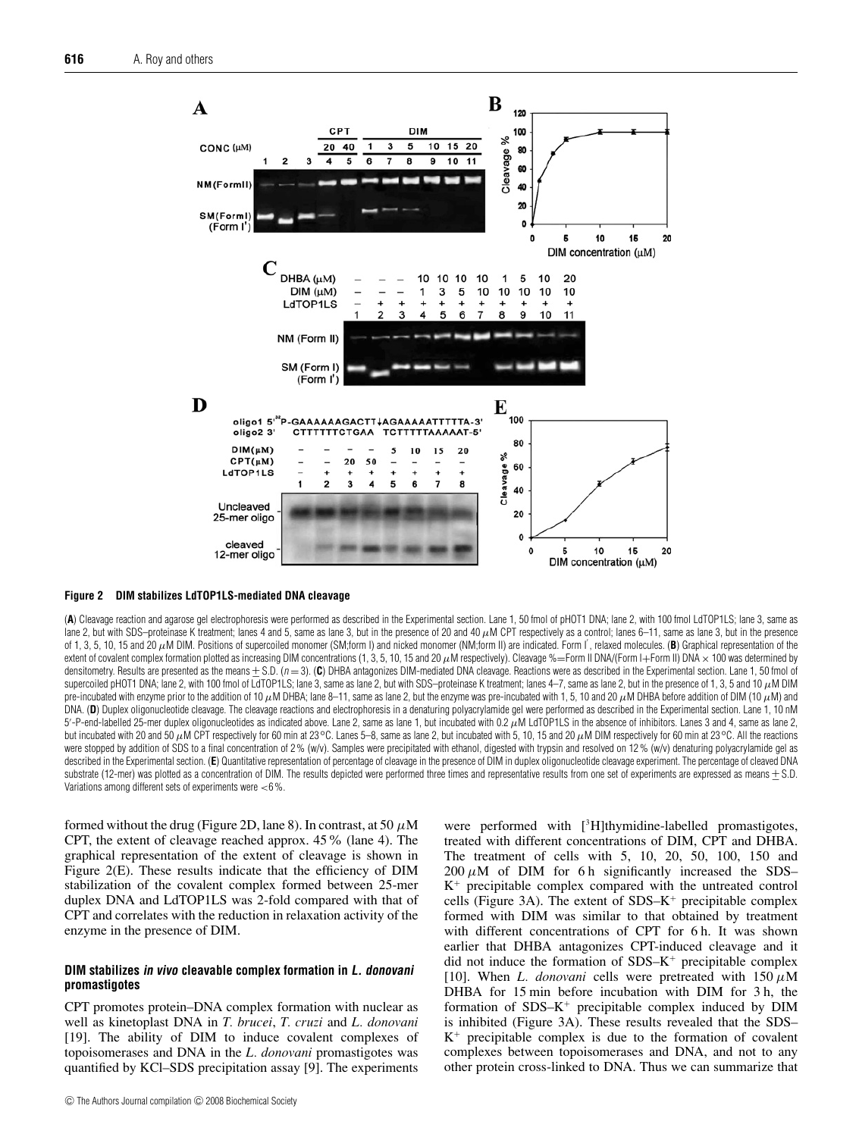

## **Figure 2 DIM stabilizes LdTOP1LS-mediated DNA cleavage**

(**A**) Cleavage reaction and agarose gel electrophoresis were performed as described in the Experimental section. Lane 1, 50 fmol of pHOT1 DNA; lane 2, with 100 fmol LdTOP1LS; lane 3, same as lane 2, but with SDS-proteinase K treatment; lanes 4 and 5, same as lane 3, but in the presence of 20 and 40  $\mu$ M CPT respectively as a control; lanes 6-11, same as lane 3, but in the presence of 1, 3, 5, 10, 15 and 20  $\mu$ M DIM. Positions of supercoiled monomer (SM;form I) and nicked monomer (NM;form II) are indicated. Form I', relaxed molecules. (B) Graphical representation of the extent of covalent complex formation plotted as increasing DIM concentrations (1, 3, 5, 10, 15 and 20  $\mu$ M respectively). Cleavage %=Form II DNA/(Form I+Form II) DNA  $\times$  100 was determined by densitometry. Results are presented as the means + S.D. (n = 3). (C) DHBA antagonizes DIM-mediated DNA cleavage. Reactions were as described in the Experimental section. Lane 1, 50 fmol of supercoiled pHOT1 DNA; lane 2, with 100 fmol of LdTOP1LS; lane 3, same as lane 2, but with SDS–proteinase K treatment; lanes 4–7, same as lane 2, but in the presence of 1, 3, 5 and 10  $\mu$ M DIM pre-incubated with enzyme prior to the addition of 10  $\mu$ M DHBA; lane 8–11, same as lane 2, but the enzyme was pre-incubated with 1, 5, 10 and 20  $\mu$ M DHBA before addition of DIM (10  $\mu$ M) and DNA. (**D**) Duplex oligonucleotide cleavage. The cleavage reactions and electrophoresis in a denaturing polyacrylamide gel were performed as described in the Experimental section. Lane 1, 10 nM 5'-P-end-labelled 25-mer duplex oligonucleotides as indicated above. Lane 2, same as lane 1, but incubated with 0.2  $\mu$ M LdTOP1LS in the absence of inhibitors. Lanes 3 and 4, same as lane 2, but incubated with 20 and 50 µM CPT respectively for 60 min at 23*◦*C. Lanes 5–8, same as lane 2, but incubated with 5, 10, 15 and 20 µM DIM respectively for 60 min at 23*◦*C. All the reactions were stopped by addition of SDS to a final concentration of 2% (w/v). Samples were precipitated with ethanol, digested with trypsin and resolved on 12% (w/v) denaturing polyacrylamide gel as described in the Experimental section. (E) Quantitative representation of percentage of cleavage in the presence of DIM in duplex oligonucleotide cleavage experiment. The percentage of cleaved DNA substrate (12-mer) was plotted as a concentration of DIM. The results depicted were performed three times and representative results from one set of experiments are expressed as means  $\pm$  S.D. Variations among different sets of experiments were <6 %.

formed without the drug (Figure 2D, lane 8). In contrast, at 50  $\mu$ M CPT, the extent of cleavage reached approx. 45% (lane 4). The graphical representation of the extent of cleavage is shown in Figure 2(E). These results indicate that the efficiency of DIM stabilization of the covalent complex formed between 25-mer duplex DNA and LdTOP1LS was 2-fold compared with that of CPT and correlates with the reduction in relaxation activity of the enzyme in the presence of DIM.

## **DIM stabilizes in vivo cleavable complex formation in L. donovani promastigotes**

CPT promotes protein–DNA complex formation with nuclear as well as kinetoplast DNA in *T. brucei*, *T. cruzi* and *L. donovani* [19]. The ability of DIM to induce covalent complexes of topoisomerases and DNA in the *L. donovani* promastigotes was quantified by KCl–SDS precipitation assay [9]. The experiments

were performed with [<sup>3</sup>H]thymidine-labelled promastigotes, treated with different concentrations of DIM, CPT and DHBA. The treatment of cells with 5, 10, 20, 50, 100, 150 and  $200 \mu M$  of DIM for 6 h significantly increased the SDS–  $K^+$  precipitable complex compared with the untreated control cells (Figure 3A). The extent of  $SDS-K^+$  precipitable complex formed with DIM was similar to that obtained by treatment with different concentrations of CPT for 6 h. It was shown earlier that DHBA antagonizes CPT-induced cleavage and it did not induce the formation of  $SDS-K^+$  precipitable complex [10]. When *L. donovani* cells were pretreated with  $150 \mu M$ DHBA for 15 min before incubation with DIM for 3 h, the formation of  $SDS-K^+$  precipitable complex induced by  $DIM$ is inhibited (Figure 3A). These results revealed that the SDS–  $K^+$  precipitable complex is due to the formation of covalent complexes between topoisomerases and DNA, and not to any other protein cross-linked to DNA. Thus we can summarize that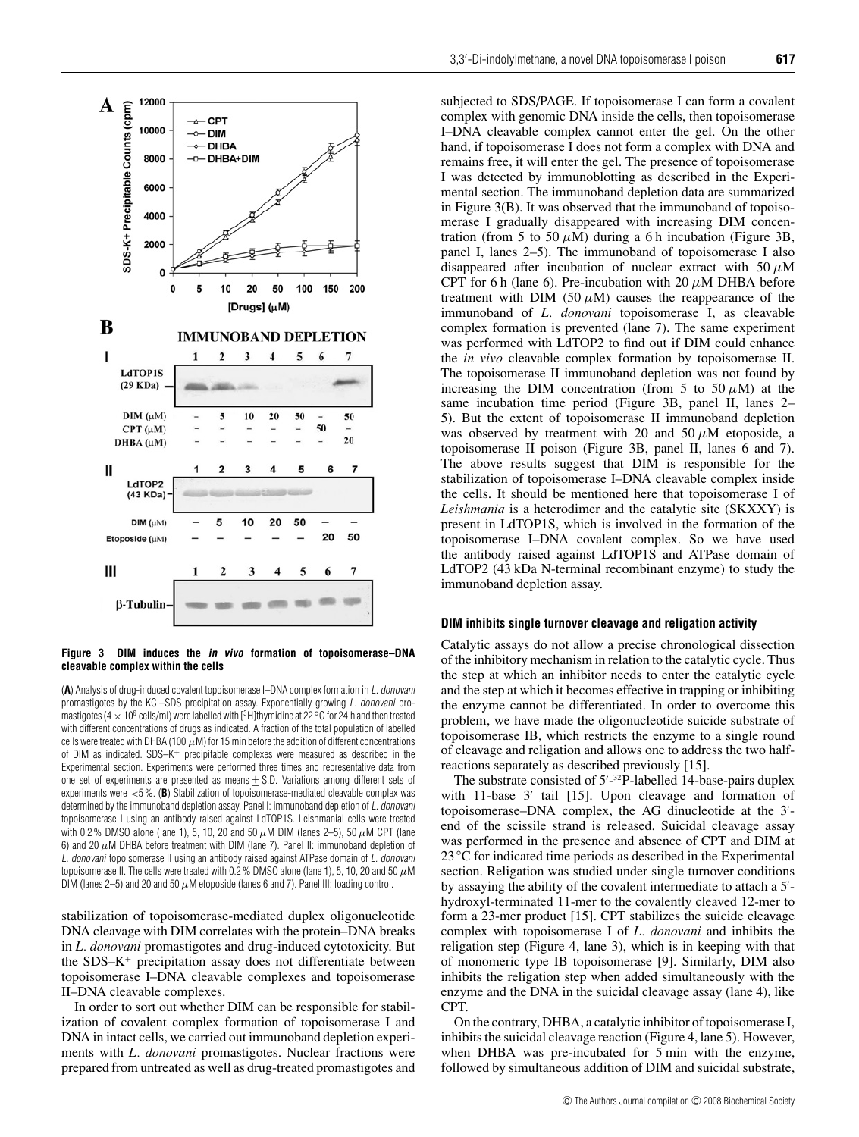

**Figure 3 DIM induces the in vivo formation of topoisomerase–DNA cleavable complex within the cells**

(**A**) Analysis of drug-induced covalent topoisomerase I–DNA complex formation in L. donovani promastigotes by the KCl–SDS precipitation assay. Exponentially growing L. donovani promastigotes (4 × 106 cells/ml) were labelled with [3H]thymidine at 22*◦*C for 24 h and then treated with different concentrations of drugs as indicated. A fraction of the total population of labelled cells were treated with DHBA (100  $\mu$ M) for 15 min before the addition of different concentrations of DIM as indicated. SDS-K+ precipitable complexes were measured as described in the Experimental section. Experiments were performed three times and representative data from one set of experiments are presented as means + S.D. Variations among different sets of experiments were <5 %. (**B**) Stabilization of topoisomerase-mediated cleavable complex was determined by the immunoband depletion assay. Panel I: immunoband depletion of L. donovani topoisomerase I using an antibody raised against LdTOP1S. Leishmanial cells were treated with 0.2% DMSO alone (lane 1), 5, 10, 20 and 50  $\mu$ M DIM (lanes 2–5), 50  $\mu$ M CPT (lane 6) and 20  $\mu$ M DHBA before treatment with DIM (lane 7). Panel II: immunoband depletion of L. donovani topoisomerase II using an antibody raised against ATPase domain of L. donovani topoisomerase II. The cells were treated with 0.2 % DMSO alone (lane 1), 5, 10, 20 and 50  $\mu$ M DIM (lanes 2-5) and 20 and 50  $\mu$ M etoposide (lanes 6 and 7). Panel III: loading control.

stabilization of topoisomerase-mediated duplex oligonucleotide DNA cleavage with DIM correlates with the protein–DNA breaks in *L. donovani* promastigotes and drug-induced cytotoxicity. But the  $SDS-K^+$  precipitation assay does not differentiate between topoisomerase I–DNA cleavable complexes and topoisomerase II–DNA cleavable complexes.

In order to sort out whether DIM can be responsible for stabilization of covalent complex formation of topoisomerase I and DNA in intact cells, we carried out immunoband depletion experiments with *L. donovani* promastigotes. Nuclear fractions were prepared from untreated as well as drug-treated promastigotes and

subjected to SDS/PAGE. If topoisomerase I can form a covalent complex with genomic DNA inside the cells, then topoisomerase I–DNA cleavable complex cannot enter the gel. On the other hand, if topoisomerase I does not form a complex with DNA and remains free, it will enter the gel. The presence of topoisomerase I was detected by immunoblotting as described in the Experimental section. The immunoband depletion data are summarized in Figure 3(B). It was observed that the immunoband of topoisomerase I gradually disappeared with increasing DIM concentration (from 5 to 50  $\mu$ M) during a 6 h incubation (Figure 3B, panel I, lanes 2–5). The immunoband of topoisomerase I also disappeared after incubation of nuclear extract with 50  $\mu$ M CPT for 6 h (lane 6). Pre-incubation with 20  $\mu$ M DHBA before treatment with DIM (50  $\mu$ M) causes the reappearance of the immunoband of *L. donovani* topoisomerase I, as cleavable complex formation is prevented (lane 7). The same experiment was performed with LdTOP2 to find out if DIM could enhance the *in vivo* cleavable complex formation by topoisomerase II. The topoisomerase II immunoband depletion was not found by increasing the DIM concentration (from 5 to 50  $\mu$ M) at the same incubation time period (Figure 3B, panel II, lanes 2– 5). But the extent of topoisomerase II immunoband depletion was observed by treatment with 20 and 50  $\mu$ M etoposide, a topoisomerase II poison (Figure 3B, panel II, lanes 6 and 7). The above results suggest that DIM is responsible for the stabilization of topoisomerase I–DNA cleavable complex inside the cells. It should be mentioned here that topoisomerase I of *Leishmania* is a heterodimer and the catalytic site (SKXXY) is present in LdTOP1S, which is involved in the formation of the topoisomerase I–DNA covalent complex. So we have used the antibody raised against LdTOP1S and ATPase domain of LdTOP2 (43 kDa N-terminal recombinant enzyme) to study the immunoband depletion assay.

#### **DIM inhibits single turnover cleavage and religation activity**

Catalytic assays do not allow a precise chronological dissection of the inhibitory mechanism in relation to the catalytic cycle. Thus the step at which an inhibitor needs to enter the catalytic cycle and the step at which it becomes effective in trapping or inhibiting the enzyme cannot be differentiated. In order to overcome this problem, we have made the oligonucleotide suicide substrate of topoisomerase IB, which restricts the enzyme to a single round of cleavage and religation and allows one to address the two halfreactions separately as described previously [15].

The substrate consisted of  $5'-32P$ -labelled 14-base-pairs duplex with 11-base  $3'$  tail [15]. Upon cleavage and formation of topoisomerase–DNA complex, the AG dinucleotide at the 3 end of the scissile strand is released. Suicidal cleavage assay was performed in the presence and absence of CPT and DIM at 23 <sup>°</sup>C for indicated time periods as described in the Experimental section. Religation was studied under single turnover conditions by assaying the ability of the covalent intermediate to attach a 5'hydroxyl-terminated 11-mer to the covalently cleaved 12-mer to form a 23-mer product [15]. CPT stabilizes the suicide cleavage complex with topoisomerase I of *L. donovani* and inhibits the religation step (Figure 4, lane 3), which is in keeping with that of monomeric type IB topoisomerase [9]. Similarly, DIM also inhibits the religation step when added simultaneously with the enzyme and the DNA in the suicidal cleavage assay (lane 4), like CPT.

On the contrary, DHBA, a catalytic inhibitor of topoisomerase I, inhibits the suicidal cleavage reaction (Figure 4, lane 5). However, when DHBA was pre-incubated for 5 min with the enzyme, followed by simultaneous addition of DIM and suicidal substrate,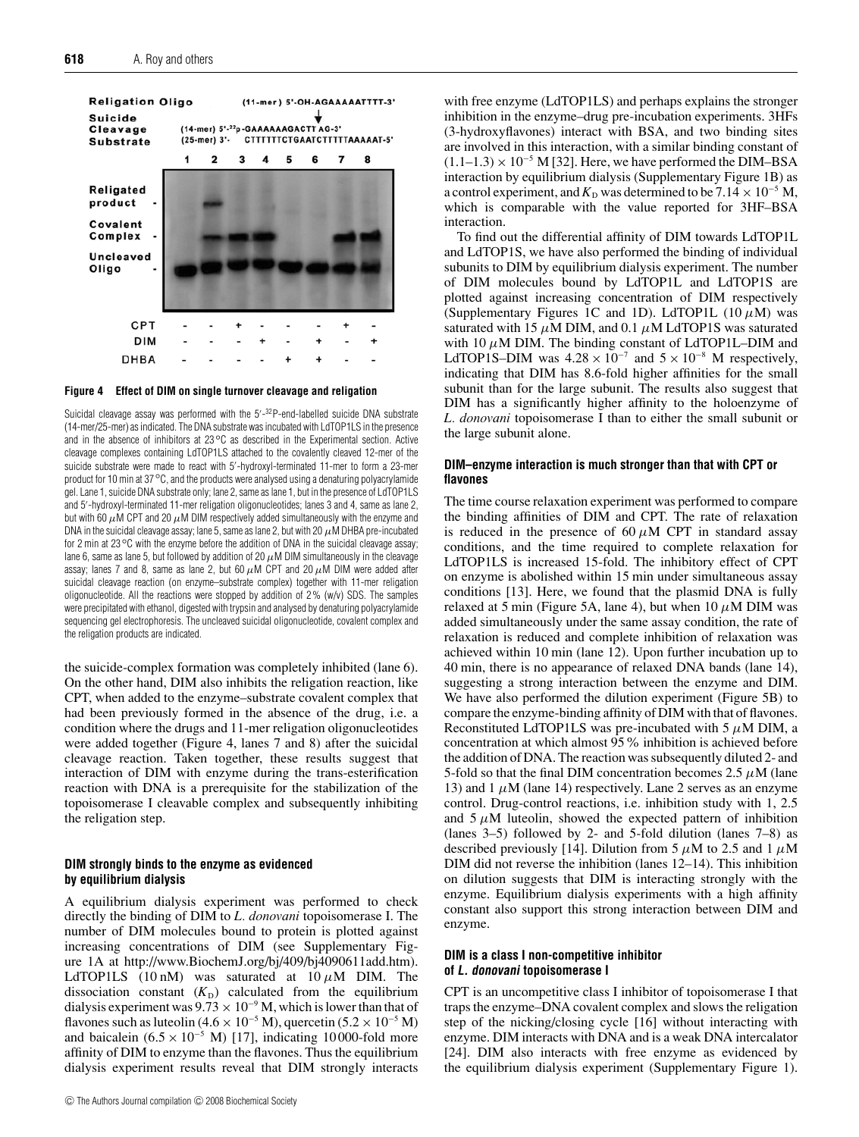![](_page_7_Figure_1.jpeg)

![](_page_7_Figure_2.jpeg)

Suicidal cleavage assay was performed with the 5<sup>-</sup>-<sup>32</sup>P-end-labelled suicide DNA substrate (14-mer/25-mer) as indicated. The DNA substrate was incubated with LdTOP1LS in the presence and in the absence of inhibitors at 23*◦*C as described in the Experimental section. Active cleavage complexes containing LdTOP1LS attached to the covalently cleaved 12-mer of the suicide substrate were made to react with 5 -hydroxyl-terminated 11-mer to form a 23-mer product for 10 min at 37*◦*C, and the products were analysed using a denaturing polyacrylamide gel. Lane 1, suicide DNA substrate only; lane 2, same as lane 1, but in the presence of LdTOP1LS and 5 -hydroxyl-terminated 11-mer religation oligonucleotides; lanes 3 and 4, same as lane 2, but with 60  $\mu$ M CPT and 20  $\mu$ M DIM respectively added simultaneously with the enzyme and DNA in the suicidal cleavage assay; lane 5, same as lane 2, but with 20  $\mu$ M DHBA pre-incubated for 2 min at 23*◦*C with the enzyme before the addition of DNA in the suicidal cleavage assay; lane 6, same as lane 5, but followed by addition of 20  $\mu$ M DIM simultaneously in the cleavage assay; lanes 7 and 8, same as lane 2, but 60  $\mu$ M CPT and 20  $\mu$ M DIM were added after suicidal cleavage reaction (on enzyme–substrate complex) together with 11-mer religation oligonucleotide. All the reactions were stopped by addition of 2 % (w/v) SDS. The samples were precipitated with ethanol, digested with trypsin and analysed by denaturing polyacrylamide sequencing gel electrophoresis. The uncleaved suicidal oligonucleotide, covalent complex and the religation products are indicated.

the suicide-complex formation was completely inhibited (lane 6). On the other hand, DIM also inhibits the religation reaction, like CPT, when added to the enzyme–substrate covalent complex that had been previously formed in the absence of the drug, i.e. a condition where the drugs and 11-mer religation oligonucleotides were added together (Figure 4, lanes 7 and 8) after the suicidal cleavage reaction. Taken together, these results suggest that interaction of DIM with enzyme during the trans-esterification reaction with DNA is a prerequisite for the stabilization of the topoisomerase I cleavable complex and subsequently inhibiting the religation step.

## **DIM strongly binds to the enzyme as evidenced by equilibrium dialysis**

A equilibrium dialysis experiment was performed to check directly the binding of DIM to *L. donovani* topoisomerase I. The number of DIM molecules bound to protein is plotted against increasing concentrations of DIM (see Supplementary Figure 1A at http://www.BiochemJ.org/bj/409/bj4090611add.htm). LdTOP1LS (10 nM) was saturated at  $10 \mu M$  DIM. The dissociation constant  $(K_D)$  calculated from the equilibrium dialysis experiment was  $9.73 \times 10^{-9}$  M, which is lower than that of flavones such as luteolin (4.6 × 10<sup>-5</sup> M), quercetin (5.2 × 10<sup>-5</sup> M) and baicalein (6.5 × 10<sup>-5</sup> M) [17], indicating 10000-fold more affinity of DIM to enzyme than the flavones. Thus the equilibrium dialysis experiment results reveal that DIM strongly interacts

with free enzyme (LdTOP1LS) and perhaps explains the stronger inhibition in the enzyme–drug pre-incubation experiments. 3HFs (3-hydroxyflavones) interact with BSA, and two binding sites are involved in this interaction, with a similar binding constant of  $(1.1–1.3) \times 10^{-5}$  M [32]. Here, we have performed the DIM–BSA interaction by equilibrium dialysis (Supplementary Figure 1B) as a control experiment, and  $K_D$  was determined to be 7.14  $\times$  10<sup>-5</sup> M, which is comparable with the value reported for 3HF–BSA interaction.

To find out the differential affinity of DIM towards LdTOP1L and LdTOP1S, we have also performed the binding of individual subunits to DIM by equilibrium dialysis experiment. The number of DIM molecules bound by LdTOP1L and LdTOP1S are plotted against increasing concentration of DIM respectively (Supplementary Figures 1C and 1D). LdTOP1L  $(10 \mu M)$  was saturated with 15  $\mu$ M DIM, and 0.1  $\mu$ M LdTOP1S was saturated with 10  $\mu$ M DIM. The binding constant of LdTOP1L–DIM and LdTOP1S–DIM was  $4.28 \times 10^{-7}$  and  $5 \times 10^{-8}$  M respectively, indicating that DIM has 8.6-fold higher affinities for the small subunit than for the large subunit. The results also suggest that DIM has a significantly higher affinity to the holoenzyme of *L. donovani* topoisomerase I than to either the small subunit or the large subunit alone.

#### **DIM–enzyme interaction is much stronger than that with CPT or flavones**

The time course relaxation experiment was performed to compare the binding affinities of DIM and CPT. The rate of relaxation is reduced in the presence of 60  $\mu$ M CPT in standard assay conditions, and the time required to complete relaxation for LdTOP1LS is increased 15-fold. The inhibitory effect of CPT on enzyme is abolished within 15 min under simultaneous assay conditions [13]. Here, we found that the plasmid DNA is fully relaxed at 5 min (Figure 5A, lane 4), but when 10  $\mu$ M DIM was added simultaneously under the same assay condition, the rate of relaxation is reduced and complete inhibition of relaxation was achieved within 10 min (lane 12). Upon further incubation up to 40 min, there is no appearance of relaxed DNA bands (lane 14), suggesting a strong interaction between the enzyme and DIM. We have also performed the dilution experiment (Figure 5B) to compare the enzyme-binding affinity of DIM with that of flavones. Reconstituted LdTOP1LS was pre-incubated with 5  $\mu$ M DIM, a concentration at which almost 95% inhibition is achieved before the addition of DNA. The reaction was subsequently diluted 2- and 5-fold so that the final DIM concentration becomes 2.5  $\mu$ M (lane 13) and 1  $\mu$ M (lane 14) respectively. Lane 2 serves as an enzyme control. Drug-control reactions, i.e. inhibition study with 1, 2.5 and  $5 \mu$ M luteolin, showed the expected pattern of inhibition (lanes 3–5) followed by 2- and 5-fold dilution (lanes 7–8) as described previously [14]. Dilution from 5  $\mu$ M to 2.5 and 1  $\mu$ M DIM did not reverse the inhibition (lanes 12–14). This inhibition on dilution suggests that DIM is interacting strongly with the enzyme. Equilibrium dialysis experiments with a high affinity constant also support this strong interaction between DIM and enzyme.

## **DIM is a class I non-competitive inhibitor of L. donovani topoisomerase I**

CPT is an uncompetitive class I inhibitor of topoisomerase I that traps the enzyme–DNA covalent complex and slows the religation step of the nicking/closing cycle [16] without interacting with enzyme. DIM interacts with DNA and is a weak DNA intercalator [24]. DIM also interacts with free enzyme as evidenced by the equilibrium dialysis experiment (Supplementary Figure 1).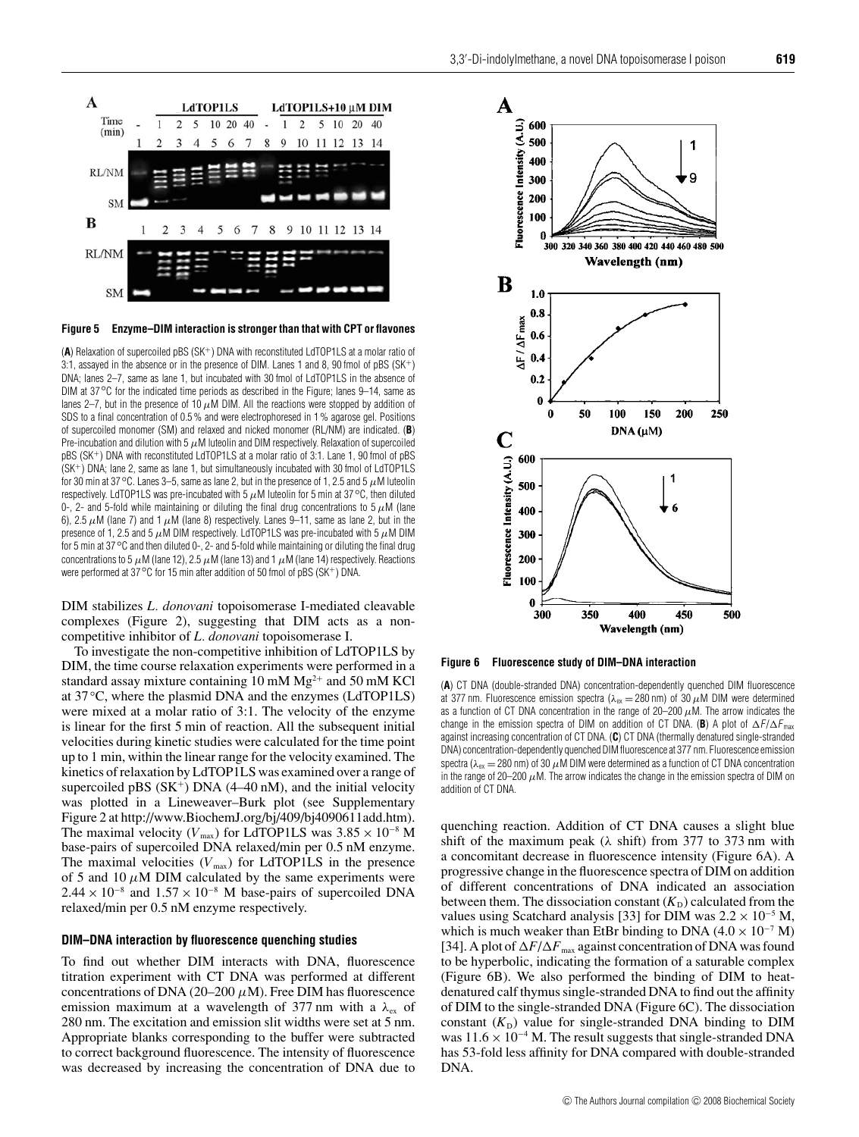![](_page_8_Figure_1.jpeg)

**Figure 5 Enzyme–DIM interaction is stronger than that with CPT or flavones**

(**A**) Relaxation of supercoiled pBS (SK<sup>+</sup>) DNA with reconstituted LdTOP1LS at a molar ratio of 3:1, assayed in the absence or in the presence of DIM. Lanes 1 and 8, 90 fmol of pBS  $(SK^+)$ DNA; lanes 2–7, same as lane 1, but incubated with 30 fmol of LdTOP1LS in the absence of DIM at 37*◦*C for the indicated time periods as described in the Figure; lanes 9–14, same as lanes 2–7, but in the presence of 10  $\mu$ M DIM. All the reactions were stopped by addition of SDS to a final concentration of 0.5 % and were electrophoresed in 1 % agarose gel. Positions of supercoiled monomer (SM) and relaxed and nicked monomer (RL/NM) are indicated. (**B**) Pre-incubation and dilution with 5  $\mu$ M luteolin and DIM respectively. Relaxation of supercoiled pBS (SK<sup>+</sup>) DNA with reconstituted LdTOP1LS at a molar ratio of 3:1. Lane 1, 90 fmol of pBS (SK<sup>+</sup>) DNA; lane 2, same as lane 1, but simultaneously incubated with 30 fmol of LdTOP1LS for 30 min at 37*◦*C. Lanes 3–5, same as lane 2, but in the presence of 1, 2.5 and 5 µM luteolin respectively. LdTOP1LS was pre-incubated with 5 µM luteolin for 5 min at 37*◦*C, then diluted 0-, 2- and 5-fold while maintaining or diluting the final drug concentrations to 5  $\mu$ M (lane 6), 2.5  $\mu$ M (lane 7) and 1  $\mu$ M (lane 8) respectively. Lanes 9–11, same as lane 2, but in the presence of 1, 2.5 and 5  $\mu$ M DIM respectively. LdTOP1LS was pre-incubated with 5  $\mu$ M DIM for 5 min at 37*◦*C and then diluted 0-, 2- and 5-fold while maintaining or diluting the final drug concentrations to 5  $\mu$ M (lane 12), 2.5  $\mu$ M (lane 13) and 1  $\mu$ M (lane 14) respectively. Reactions were performed at 37 °C for 15 min after addition of 50 fmol of pBS (SK<sup>+</sup>) DNA.

DIM stabilizes *L. donovani* topoisomerase I-mediated cleavable complexes (Figure 2), suggesting that DIM acts as a noncompetitive inhibitor of *L. donovani* topoisomerase I.

To investigate the non-competitive inhibition of LdTOP1LS by DIM, the time course relaxation experiments were performed in a standard assay mixture containing 10 mM  $Mg^{2+}$  and 50 mM KCl at 37 *◦*C, where the plasmid DNA and the enzymes (LdTOP1LS) were mixed at a molar ratio of 3:1. The velocity of the enzyme is linear for the first 5 min of reaction. All the subsequent initial velocities during kinetic studies were calculated for the time point up to 1 min, within the linear range for the velocity examined. The kinetics of relaxation by LdTOP1LS was examined over a range of supercoiled pBS  $(SK^+)$  DNA  $(4–40 \text{ nM})$ , and the initial velocity was plotted in a Lineweaver–Burk plot (see Supplementary Figure 2 at http://www.BiochemJ.org/bj/409/bj4090611add.htm). The maximal velocity ( $V_{\text{max}}$ ) for LdTOP1LS was  $3.85 \times 10^{-8}$  M base-pairs of supercoiled DNA relaxed/min per 0.5 nM enzyme. The maximal velocities  $(V_{\text{max}})$  for LdTOP1LS in the presence of 5 and 10  $\mu$ M DIM calculated by the same experiments were  $2.44 \times 10^{-8}$  and  $1.57 \times 10^{-8}$  M base-pairs of supercoiled DNA relaxed/min per 0.5 nM enzyme respectively.

#### **DIM–DNA interaction by fluorescence quenching studies**

To find out whether DIM interacts with DNA, fluorescence titration experiment with CT DNA was performed at different concentrations of DNA (20–200  $\mu$ M). Free DIM has fluorescence emission maximum at a wavelength of 377 nm with a  $\lambda_{ex}$  of 280 nm. The excitation and emission slit widths were set at 5 nm. Appropriate blanks corresponding to the buffer were subtracted to correct background fluorescence. The intensity of fluorescence was decreased by increasing the concentration of DNA due to

![](_page_8_Figure_8.jpeg)

**Figure 6 Fluorescence study of DIM–DNA interaction**

(**A**) CT DNA (double-stranded DNA) concentration-dependently quenched DIM fluorescence at 377 nm. Fluorescence emission spectra ( $\lambda_{\rm ex}$  = 280 nm) of 30  $\mu$ M DIM were determined as a function of CT DNA concentration in the range of 20–200  $\mu$ M. The arrow indicates the change in the emission spectra of DIM on addition of CT DNA. (B) A plot of  $\Delta F/\Delta F_{\text{max}}$ against increasing concentration of CT DNA. (**C**) CT DNA (thermally denatured single-stranded DNA) concentration-dependently quenched DIM fluorescence at 377 nm. Fluorescence emission spectra ( $\lambda_{ex}$  = 280 nm) of 30  $\mu$ M DIM were determined as a function of CT DNA concentration in the range of 20–200  $\mu$ M. The arrow indicates the change in the emission spectra of DIM on addition of CT DNA.

quenching reaction. Addition of CT DNA causes a slight blue shift of the maximum peak ( $\lambda$  shift) from 377 to 373 nm with a concomitant decrease in fluorescence intensity (Figure 6A). A progressive change in the fluorescence spectra of DIM on addition of different concentrations of DNA indicated an association between them. The dissociation constant  $(K_D)$  calculated from the values using Scatchard analysis [33] for DIM was  $2.2 \times 10^{-5}$  M, which is much weaker than EtBr binding to DNA  $(4.0 \times 10^{-7}$  M) [34]. A plot of  $\Delta F/\Delta F_{\text{max}}$  against concentration of DNA was found to be hyperbolic, indicating the formation of a saturable complex (Figure 6B). We also performed the binding of DIM to heatdenatured calf thymus single-stranded DNA to find out the affinity of DIM to the single-stranded DNA (Figure 6C). The dissociation constant  $(K_D)$  value for single-stranded DNA binding to DIM was  $11.6 \times 10^{-4}$  M. The result suggests that single-stranded DNA has 53-fold less affinity for DNA compared with double-stranded DNA.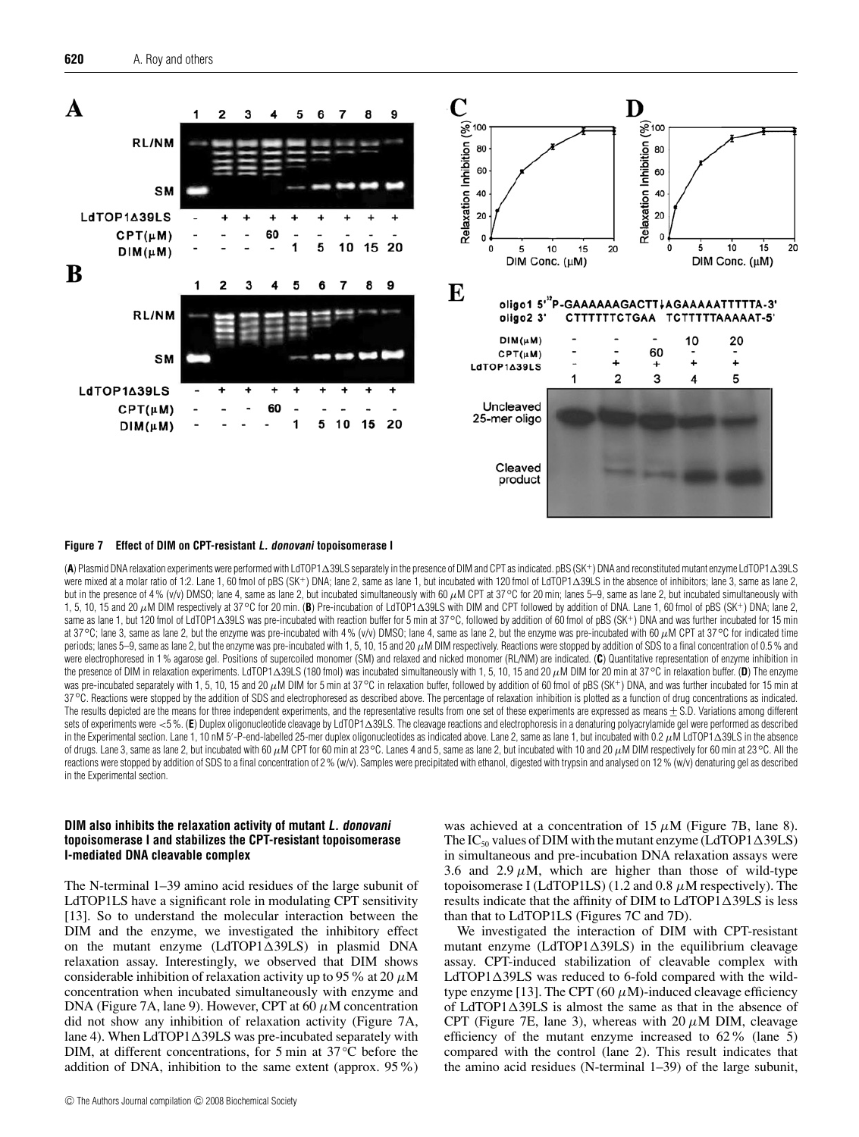![](_page_9_Figure_1.jpeg)

#### **Figure 7 Effect of DIM on CPT-resistant L. donovani topoisomerase I**

(**A**) Plasmid DNA relaxation experiments were performed with LdTOP139LS separately in the presence of DIM and CPT as indicated. pBS (SK<sup>+</sup>) DNA and reconstituted mutant enzyme LdTOP139LS were mixed at a molar ratio of 1:2. Lane 1, 60 fmol of pBS (SK+) DNA; lane 2, same as lane 3, lane 3, same as lane 2, anne as lane 2, but in the presence of 4% (v/v) DMSO; lane 4, same as lane 2, but incubated simultaneously with 60 µM CPT at 37 ℃ for 20 min; lanes 5–9, same as lane 2, but incubated simultaneously with 1, 5, 10, 15 and 20 μM DIM respectively at 37<sup>°</sup>C for 20 min. (**B**) Pre-incubation of LdTOP1∆39LS with DIM and CPT followed by addition of DNA. Lane 1, 60 fmol of pBS (SK<sup>+</sup>) DNA; lane 2, same as lane 1, but 120 fmol of LdTOP1∆39LS was pre-incubated with reaction buffer for 5 min at 37 °C, followed by addition of 60 fmol of pBS (SK<sup>+</sup>) DNA and was further incubated for 15 min at 37*◦*C; lane 3, same as lane 2, but the enzyme was pre-incubated with 4 % (v/v) DMSO; lane 4, same as lane 2, but the enzyme was pre-incubated with 60 µM CPT at 37*◦*C for indicated time periods; lanes 5–9, same as lane 2, but the enzyme was pre-incubated with 1, 5, 10, 15 and 20  $\mu$ M DIM respectively. Reactions were stopped by addition of SDS to a final concentration of 0.5 % and were electrophoresed in 1% agarose gel. Positions of supercoiled monomer (SM) and relaxed and nicked monomer (RL/NM) are indicated. (C) Quantitative representation of enzyme inhibition in the presence of DIM in relaxation experiments. LdTOP139LS (180 fmol) was incubated simultaneously with 1, 5, 10, 15 and 20 µM DIM for 20 min at 37*◦*C in relaxation buffer. (**D**) The enzyme was pre-incubated separately with 1, 5, 10, 15 and 20 µM DIM for 5 min at 37 °C in relaxation buffer, followed by addition of 60 fmol of pBS (SK<sup>+</sup>) DNA, and was further incubated for 15 min at 37*◦*C. Reactions were stopped by the addition of SDS and electrophoresed as described above. The percentage of relaxation inhibition is plotted as a function of drug concentrations as indicated. The results depicted are the means for three independent experiments, and the representative results from one set of these experiments are expressed as means ± S.D. Variations among different sets of experiments were <5%. (E) Duplex oligonucleotide cleavage by LdTOP1 $\Delta$ 39LS. The cleavage reactions and electrophoresis in a denaturing polyacrylamide gel were performed as described in the Experimental section. Lane 1, 10 nM 5'-P-end-labelled 25-mer duplex oligonucleotides as indicated above. Lane 2, same as lane 1, but incubated with 0.2  $\mu$ M LdTOP1 $\Delta$ 39LS in the absence of drugs. Lane 3, same as lane 2, but incubated with 60 µM CPT for 60 min at 23*◦*C. Lanes 4 and 5, same as lane 2, but incubated with 10 and 20 µM DIM respectively for 60 min at 23*◦*C. All the reactions were stopped by addition of SDS to a final concentration of 2% (w/v). Samples were precipitated with ethanol, digested with trypsin and analysed on 12% (w/v) denaturing gel as described in the Experimental section.

## **DIM also inhibits the relaxation activity of mutant L. donovani topoisomerase I and stabilizes the CPT-resistant topoisomerase I-mediated DNA cleavable complex**

The N-terminal 1–39 amino acid residues of the large subunit of LdTOP1LS have a significant role in modulating CPT sensitivity [13]. So to understand the molecular interaction between the DIM and the enzyme, we investigated the inhibitory effect on the mutant enzyme  $(LdTOP1\triangle 39LS)$  in plasmid DNA relaxation assay. Interestingly, we observed that DIM shows considerable inhibition of relaxation activity up to 95 % at 20  $\mu$ M concentration when incubated simultaneously with enzyme and DNA (Figure 7A, lane 9). However, CPT at 60  $\mu$ M concentration did not show any inhibition of relaxation activity (Figure 7A, lane 4). When  $LdTOP1\Delta39LS$  was pre-incubated separately with DIM, at different concentrations, for 5 min at 37 *◦*C before the addition of DNA, inhibition to the same extent (approx. 95%)

© The Authors Journal compilation © 2008 Biochemical Society

was achieved at a concentration of  $15 \mu M$  (Figure 7B, lane 8). The IC<sub>50</sub> values of DIM with the mutant enzyme (LdTOP1 $\triangle$ 39LS) in simultaneous and pre-incubation DNA relaxation assays were 3.6 and 2.9  $\mu$ M, which are higher than those of wild-type topoisomerase I (LdTOP1LS) (1.2 and 0.8  $\mu$ M respectively). The results indicate that the affinity of DIM to  $LdTOP1\Delta39LS$  is less than that to LdTOP1LS (Figures 7C and 7D).

We investigated the interaction of DIM with CPT-resistant mutant enzyme  $(LdTOP1\Delta39LS)$  in the equilibrium cleavage assay. CPT-induced stabilization of cleavable complex with LdTOP1 $\triangle$ 39LS was reduced to 6-fold compared with the wildtype enzyme [13]. The CPT (60  $\mu$ M)-induced cleavage efficiency of LdTOP1 $\triangle$ 39LS is almost the same as that in the absence of CPT (Figure 7E, lane 3), whereas with 20  $\mu$ M DIM, cleavage efficiency of the mutant enzyme increased to 62% (lane 5) compared with the control (lane 2). This result indicates that the amino acid residues (N-terminal 1–39) of the large subunit,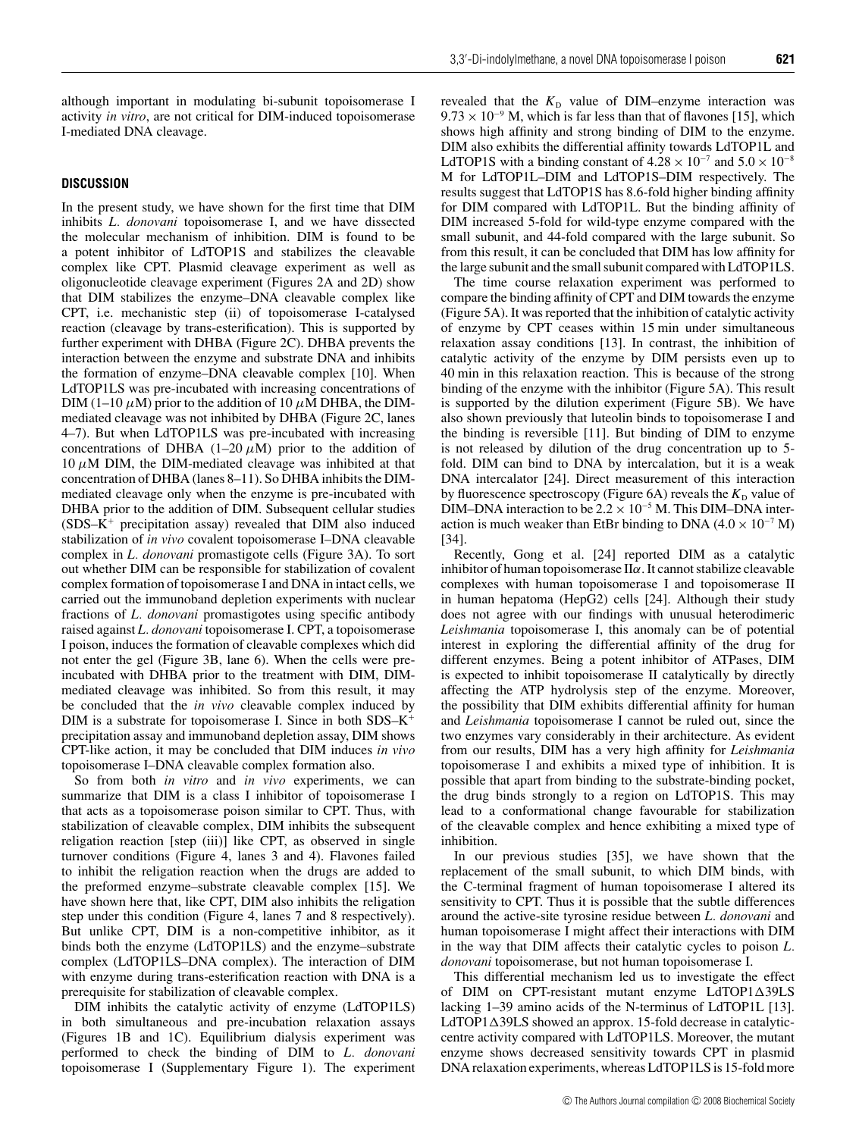although important in modulating bi-subunit topoisomerase I activity *in vitro*, are not critical for DIM-induced topoisomerase I-mediated DNA cleavage.

## **DISCUSSION**

In the present study, we have shown for the first time that DIM inhibits *L. donovani* topoisomerase I, and we have dissected the molecular mechanism of inhibition. DIM is found to be a potent inhibitor of LdTOP1S and stabilizes the cleavable complex like CPT. Plasmid cleavage experiment as well as oligonucleotide cleavage experiment (Figures 2A and 2D) show that DIM stabilizes the enzyme–DNA cleavable complex like CPT, i.e. mechanistic step (ii) of topoisomerase I-catalysed reaction (cleavage by trans-esterification). This is supported by further experiment with DHBA (Figure 2C). DHBA prevents the interaction between the enzyme and substrate DNA and inhibits the formation of enzyme–DNA cleavable complex [10]. When LdTOP1LS was pre-incubated with increasing concentrations of DIM (1–10  $\mu$ M) prior to the addition of 10  $\mu$ M DHBA, the DIMmediated cleavage was not inhibited by DHBA (Figure 2C, lanes 4–7). But when LdTOP1LS was pre-incubated with increasing concentrations of DHBA (1–20  $\mu$ M) prior to the addition of  $10 \mu$ M DIM, the DIM-mediated cleavage was inhibited at that concentration of DHBA (lanes 8–11). So DHBA inhibits the DIMmediated cleavage only when the enzyme is pre-incubated with DHBA prior to the addition of DIM. Subsequent cellular studies (SDS–K<sup>+</sup> precipitation assay) revealed that DIM also induced stabilization of *in vivo* covalent topoisomerase I–DNA cleavable complex in *L. donovani* promastigote cells (Figure 3A). To sort out whether DIM can be responsible for stabilization of covalent complex formation of topoisomerase I and DNA in intact cells, we carried out the immunoband depletion experiments with nuclear fractions of *L. donovani* promastigotes using specific antibody raised against *L. donovani* topoisomerase I. CPT, a topoisomerase I poison, induces the formation of cleavable complexes which did not enter the gel (Figure 3B, lane 6). When the cells were preincubated with DHBA prior to the treatment with DIM, DIMmediated cleavage was inhibited. So from this result, it may be concluded that the *in vivo* cleavable complex induced by DIM is a substrate for topoisomerase I. Since in both SDS–K<sup>+</sup> precipitation assay and immunoband depletion assay, DIM shows CPT-like action, it may be concluded that DIM induces *in vivo* topoisomerase I–DNA cleavable complex formation also.

So from both *in vitro* and *in vivo* experiments, we can summarize that DIM is a class I inhibitor of topoisomerase I that acts as a topoisomerase poison similar to CPT. Thus, with stabilization of cleavable complex, DIM inhibits the subsequent religation reaction [step (iii)] like CPT, as observed in single turnover conditions (Figure 4, lanes 3 and 4). Flavones failed to inhibit the religation reaction when the drugs are added to the preformed enzyme–substrate cleavable complex [15]. We have shown here that, like CPT, DIM also inhibits the religation step under this condition (Figure 4, lanes 7 and 8 respectively). But unlike CPT, DIM is a non-competitive inhibitor, as it binds both the enzyme (LdTOP1LS) and the enzyme–substrate complex (LdTOP1LS–DNA complex). The interaction of DIM with enzyme during trans-esterification reaction with DNA is a prerequisite for stabilization of cleavable complex.

DIM inhibits the catalytic activity of enzyme (LdTOP1LS) in both simultaneous and pre-incubation relaxation assays (Figures 1B and 1C). Equilibrium dialysis experiment was performed to check the binding of DIM to *L. donovani* topoisomerase I (Supplementary Figure 1). The experiment

revealed that the  $K<sub>D</sub>$  value of DIM–enzyme interaction was  $9.73 \times 10^{-9}$  M, which is far less than that of flavones [15], which shows high affinity and strong binding of DIM to the enzyme. DIM also exhibits the differential affinity towards LdTOP1L and LdTOP1S with a binding constant of  $4.28 \times 10^{-7}$  and  $5.0 \times 10^{-8}$ M for LdTOP1L–DIM and LdTOP1S–DIM respectively. The results suggest that LdTOP1S has 8.6-fold higher binding affinity for DIM compared with LdTOP1L. But the binding affinity of DIM increased 5-fold for wild-type enzyme compared with the small subunit, and 44-fold compared with the large subunit. So from this result, it can be concluded that DIM has low affinity for the large subunit and the small subunit compared with LdTOP1LS.

The time course relaxation experiment was performed to compare the binding affinity of CPT and DIM towards the enzyme (Figure 5A). It was reported that the inhibition of catalytic activity of enzyme by CPT ceases within 15 min under simultaneous relaxation assay conditions [13]. In contrast, the inhibition of catalytic activity of the enzyme by DIM persists even up to 40 min in this relaxation reaction. This is because of the strong binding of the enzyme with the inhibitor (Figure 5A). This result is supported by the dilution experiment (Figure 5B). We have also shown previously that luteolin binds to topoisomerase I and the binding is reversible [11]. But binding of DIM to enzyme is not released by dilution of the drug concentration up to 5 fold. DIM can bind to DNA by intercalation, but it is a weak DNA intercalator [24]. Direct measurement of this interaction by fluorescence spectroscopy (Figure 6A) reveals the  $K<sub>D</sub>$  value of DIM–DNA interaction to be  $2.2 \times 10^{-5}$  M. This DIM–DNA interaction is much weaker than EtBr binding to DNA ( $4.0 \times 10^{-7}$  M) [34].

Recently, Gong et al. [24] reported DIM as a catalytic inhibitor of human topoisomerase  $II\alpha$ . It cannot stabilize cleavable complexes with human topoisomerase I and topoisomerase II in human hepatoma (HepG2) cells [24]. Although their study does not agree with our findings with unusual heterodimeric *Leishmania* topoisomerase I, this anomaly can be of potential interest in exploring the differential affinity of the drug for different enzymes. Being a potent inhibitor of ATPases, DIM is expected to inhibit topoisomerase II catalytically by directly affecting the ATP hydrolysis step of the enzyme. Moreover, the possibility that DIM exhibits differential affinity for human and *Leishmania* topoisomerase I cannot be ruled out, since the two enzymes vary considerably in their architecture. As evident from our results, DIM has a very high affinity for *Leishmania* topoisomerase I and exhibits a mixed type of inhibition. It is possible that apart from binding to the substrate-binding pocket, the drug binds strongly to a region on LdTOP1S. This may lead to a conformational change favourable for stabilization of the cleavable complex and hence exhibiting a mixed type of inhibition.

In our previous studies [35], we have shown that the replacement of the small subunit, to which DIM binds, with the C-terminal fragment of human topoisomerase I altered its sensitivity to CPT. Thus it is possible that the subtle differences around the active-site tyrosine residue between *L. donovani* and human topoisomerase I might affect their interactions with DIM in the way that DIM affects their catalytic cycles to poison *L. donovani* topoisomerase, but not human topoisomerase I.

This differential mechanism led us to investigate the effect of DIM on CPT-resistant mutant enzyme LdTOP1 $\triangle$ 39LS lacking 1–39 amino acids of the N-terminus of LdTOP1L [13].  $LdTOP1\Delta39LS$  showed an approx. 15-fold decrease in catalyticcentre activity compared with LdTOP1LS. Moreover, the mutant enzyme shows decreased sensitivity towards CPT in plasmid DNA relaxation experiments, whereas LdTOP1LS is 15-fold more